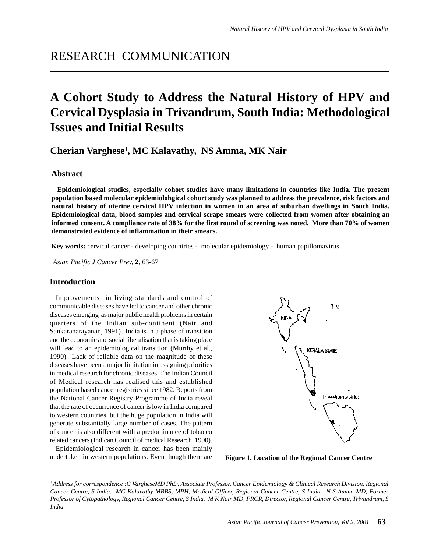# RESEARCH COMMUNICATION

# **A Cohort Study to Address the Natural History of HPV and Cervical Dysplasia in Trivandrum, South India: Methodological Issues and Initial Results**

**Cherian Varghese1 , MC Kalavathy, NS Amma, MK Nair**

# **Abstract**

**Epidemiological studies, especially cohort studies have many limitations in countries like India. The present population based molecular epidemiolohgical cohort study was planned to address the prevalence, risk factors and natural history of uterine cervical HPV infection in women in an area of suburban dwellings in South India. Epidemiological data, blood samples and cervical scrape smears were collected from women after obtaining an informed consent. A compliance rate of 38% for the first round of screening was noted. More than 70% of women demonstrated evidence of inflammation in their smears.**

**Key words:** cervical cancer - developing countries - molecular epidemiology - human papillomavirus

*Asian Pacific J Cancer Prev,* **2**, 63-67

## **Introduction**

Improvements in living standards and control of communicable diseases have led to cancer and other chronic diseases emerging as major public health problems in certain quarters of the Indian sub-continent (Nair and Sankaranarayanan, 1991) . India is in a phase of transition and the economic and social liberalisation that is taking place will lead to an epidemiological transition (Murthy et al., 1990) . Lack of reliable data on the magnitude of these diseases have been a major limitation in assigning priorities in medical research for chronic diseases. The Indian Council of Medical research has realised this and established population based cancer registries since 1982. Reports from the National Cancer Registry Programme of India reveal that the rate of occurrence of cancer is low in India compared to western countries, but the huge population in India will generate substantially large number of cases. The pattern of cancer is also different with a predominance of tobacco related cancers (Indican Council of medical Research, 1990).

Epidemiological research in cancer has been mainly undertaken in western populations. Even though there are **Figure 1. Location of the Regional Cancer Centre**



*1 Address for correspondence :C VargheseMD PhD, Associate Professor, Cancer Epidemiology & Clinical Research Division, Regional Cancer Centre, S India. MC Kalavathy MBBS, MPH, Medical Officer, Regional Cancer Centre, S India. N S Amma MD, Former Professor of Cytopathology, Regional Cancer Centre, S India. M K Nair MD, FRCR, Director, Regional Cancer Centre, Trivandrum, S India.*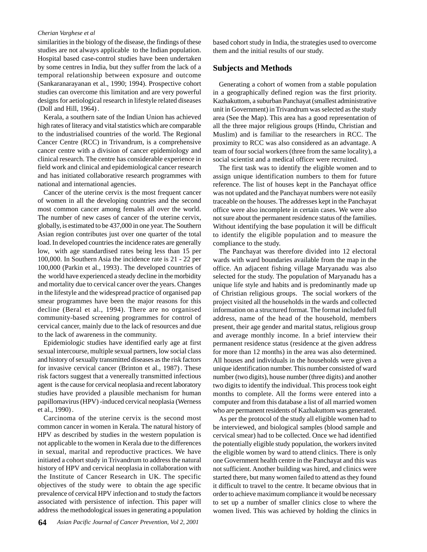#### *Cherian Varghese et al*

similarities in the biology of the disease, the findings of these studies are not always applicable to the Indian population. Hospital based case-control studies have been undertaken by some centres in India, but they suffer from the lack of a temporal relationship between exposure and outcome (Sankaranarayanan et al., 1990; 1994). Prospective cohort studies can overcome this limitation and are very powerful designs for aetiological research in lifestyle related diseases (Doll and Hill, 1964) .

Kerala, a southern sate of the Indian Union has achieved high rates of literacy and vital statistics which are comparable to the industrialised countries of the world. The Regional Cancer Centre (RCC) in Trivandrum, is a comprehensive cancer centre with a division of cancer epidemiology and clinical research. The centre has considerable experience in field work and clinical and epidemiological cancer research and has initiated collaborative research programmes with national and international agencies.

Cancer of the uterine cervix is the most frequent cancer of women in all the developing countries and the second most common cancer among females all over the world. The number of new cases of cancer of the uterine cervix, globally, is estimated to be 437,000 in one year. The Southern Asian region contributes just over one quarter of the total load. In developed countries the incidence rates are generally low, with age standardised rates being less than 15 per 100,000. In Southern Asia the incidence rate is 21 - 22 per 100,000 (Parkin et al., 1993) . The developed countries of the world have experienced a steady decline in the morbidity and mortality due to cervical cancer over the years. Changes in the lifestyle and the widespread practice of organised pap smear programmes have been the major reasons for this decline (Beral et al., 1994). There are no organised community-based screening programmes for control of cervical cancer, mainly due to the lack of resources and due to the lack of awareness in the community.

Epidemiologic studies have identified early age at first sexual intercourse, multiple sexual partners, low social class and history of sexually transmitted diseases as the risk factors for invasive cervical cancer (Brinton et al., 1987) . These risk factors suggest that a venereally transmitted infectious agent is the cause for cervical neoplasia and recent laboratory studies have provided a plausible mechanism for human papillomavirus (HPV) -induced cervical neoplasia (Werness et al., 1990) .

Carcinoma of the uterine cervix is the second most common cancer in women in Kerala. The natural history of HPV as described by studies in the western population is not applicable to the women in Kerala due to the differences in sexual, marital and reproductive practices. We have initiated a cohort study in Trivandrum to address the natural history of HPV and cervical neoplasia in collaboration with the Institute of Cancer Research in UK. The specific objectives of the study were to obtain the age specific prevalence of cervical HPV infection and to study the factors associated with persistence of infection. This paper will address the methodological issues in generating a population

based cohort study in India, the strategies used to overcome them and the initial results of our study.

#### **Subjects and Methods**

Generating a cohort of women from a stable population in a geographically defined region was the first priority. Kazhakuttom, a suburban Panchayat (smallest administrative unit in Government) in Trivandrum was selected as the study area (See the Map). This area has a good representation of all the three major religious groups (Hindu, Christian and Muslim) and is familiar to the researchers in RCC. The proximity to RCC was also considered as an advantage. A team of four social workers (three from the same locality), a social scientist and a medical officer were recruited.

The first task was to identify the eligible women and to assign unique identification numbers to them for future reference. The list of houses kept in the Panchayat office was not updated and the Panchayat numbers were not easily traceable on the houses. The addresses kept in the Panchayat office were also incomplete in certain cases. We were also not sure about the permanent residence status of the families. Without identifying the base population it will be difficult to identify the eligible population and to measure the compliance to the study.

The Panchayat was therefore divided into 12 electoral wards with ward boundaries available from the map in the office. An adjacent fishing village Maryanadu was also selected for the study. The population of Maryanadu has a unique life style and habits and is predominantly made up of Christian religious groups. The social workers of the project visited all the households in the wards and collected information on a structured format. The format included full address, name of the head of the household, members present, their age gender and marital status, religious group and average monthly income. In a brief interview their permanent residence status (residence at the given address for more than 12 months) in the area was also determined. All houses and individuals in the households were given a unique identification number. This number consisted of ward number (two digits), house number (three digits) and another two digits to identify the individual. This process took eight months to complete. All the forms were entered into a computer and from this database a list of all married women who are permanent residents of Kazhakuttom was generated.

As per the protocol of the study all eligible women had to be interviewed, and biological samples (blood sample and cervical smear) had to be collected. Once we had identified the potentially eligible study population, the workers invited the eligible women by ward to attend clinics. There is only one Government health centre in the Panchayat and this was not sufficient. Another building was hired, and clinics were started there, but many women failed to attend as they found it difficult to travel to the centre. It became obvious that in order to achieve maximum compliance it would be necessary to set up a number of smaller clinics close to where the women lived. This was achieved by holding the clinics in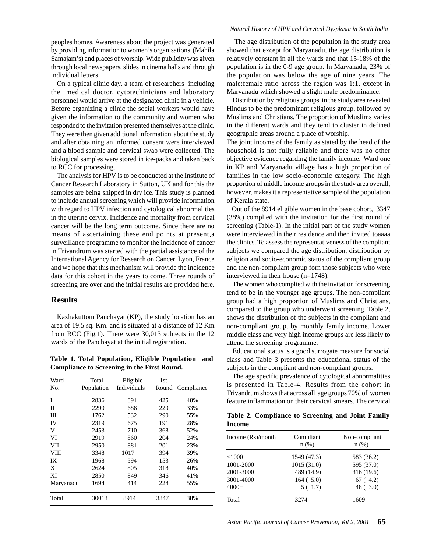peoples homes. Awareness about the project was generated by providing information to women's organisations (Mahila Samajam's) and places of worship. Wide publicity was given through local newspapers, slides in cinema halls and through individual letters.

On a typical clinic day, a team of researchers including the medical doctor, cytotechinicians and laboratory personnel would arrive at the designated clinic in a vehicle. Before organizing a clinic the social workers would have given the information to the community and women who responded to the invitation presented themselves at the clinic. They were then given additional information about the study and after obtaining an informed consent were interviewed and a blood sample and cervical swab were collected. The biological samples were stored in ice-packs and taken back to RCC for processing.

The analysis for HPV is to be conducted at the Institute of Cancer Research Laboratory in Sutton, UK and for this the samples are being shipped in dry ice. This study is planned to include annual screening which will provide information with regard to HPV infection and cytological abnormalities in the uterine cervix. Incidence and mortality from cervical cancer will be the long term outcome. Since there are no means of ascertaining these end points at present,a surveillance programme to monitor the incidence of cancer in Trivandrum was started with the partial assistance of the International Agency for Research on Cancer, Lyon, France and we hope that this mechanism will provide the incidence data for this cohort in the years to come. Three rounds of screening are over and the initial results are provided here.

#### **Results**

Kazhakuttom Panchayat (KP), the study location has an area of 19.5 sq. Km. and is situated at a distance of 12 Km from RCC (Fig.1). There were 30,013 subjects in the 12 wards of the Panchayat at the initial registration.

**Table 1. Total Population, Eligible Population and Compliance to Screening in the First Round.**

| Ward<br>No. | Total<br>Population | Eligible<br>Individuals | 1st<br>Round | Compliance |  |
|-------------|---------------------|-------------------------|--------------|------------|--|
| I           | 2836                | 891                     | 425          | 48%        |  |
| П           | 2290                | 686                     | 229          | 33%        |  |
| Ш           | 1762                | 532                     | 290          | 55%        |  |
| IV          | 2319                | 675                     | 191          | 28%        |  |
| V           | 2453                | 710                     | 368          | 52%        |  |
| VI          | 2919                | 860                     | 204          | 24%        |  |
| VII         | 2950                | 881                     | 201          | 23%        |  |
| <b>VIII</b> | 3348                | 1017                    | 394          | 39%        |  |
| IX          | 1968                | 594                     | 153          | 26%        |  |
| X           | 2624                | 805                     | 318          | 40%        |  |
| XI          | 2850                | 849                     | 346          | 41%        |  |
| Maryanadu   | 1694                | 414                     | 228          | 55%        |  |
| Total       | 30013               | 8914                    | 3347         | 38%        |  |

#### *Natural History of HPV and Cervical Dysplasia in South India*

 The age distribution of the population in the study area showed that except for Maryanadu, the age distribution is relatively constant in all the wards and that 15-18% of the population is in the 0-9 age group. In Maryanadu, 23% of the population was below the age of nine years. The male:female ratio across the region was 1:1, except in Maryanadu which showed a slight male predominance.

Distribution by religious groups in the study area revealed Hindus to be the predominant religious group, followed by Muslims and Christians. The proportion of Muslims varies in the different wards and they tend to cluster in defined geographic areas around a place of worship.

The joint income of the family as stated by the head of the household is not fully reliable and there was no other objective evidence regarding the family income. Ward one in KP and Maryanadu village has a high proportion of families in the low socio-economic category. The high proportion of middle income groups in the study area overall, however, makes it a representative sample of the population of Kerala state.

 Out of the 8914 eligible women in the base cohort, 3347 (38%) complied with the invitation for the first round of screening (Table-1). In the initial part of the study women were interviewed in their residence and then invited toaaaa the clinics. To assess the representativeness of the compliant subjects we compared the age distribution, distribution by religion and socio-economic status of the compliant group and the non-compliant group forn those subjects who were interviewed in their house (n=1748).

The women who complied with the invitation for screening tend to be in the younger age groups. The non-compliant group had a high proportion of Muslims and Christians, compared to the group who underwent screening. Table 2, shows the distribution of the subjects in the compliant and non-compliant group, by monthly family income. Lower middle class and very high income groups are less likely to attend the screening programme.

Educational status is a good surrogate measure for social class and Table 3 presents the educational status of the subjects in the compliant and non-compliant groups.

The age specific prevalence of cytological abnormalities is presented in Table-4. Results from the cohort in Trivandrum shows that across all age groups 70% of women feature inflammation on their cervical smears. The cervical

|        | Table 2. Compliance to Screening and Joint Family |  |  |  |
|--------|---------------------------------------------------|--|--|--|
| Income |                                                   |  |  |  |

| Income $(Rs)/$ month | Compliant<br>$n$ (%) | Non-compliant<br>$n$ (%) |
|----------------------|----------------------|--------------------------|
| < 1000               | 1549 (47.3)          | 583 (36.2)               |
| 1001-2000            | 1015(31.0)           | 595 (37.0)               |
| 2001-3000            | 489 (14.9)           | 316(19.6)                |
| 3001-4000            | 164(5.0)             | 67(4.2)                  |
| $4000+$              | 5(1.7)               | 48(3.0)                  |
| Total                | 32.74                | 1609                     |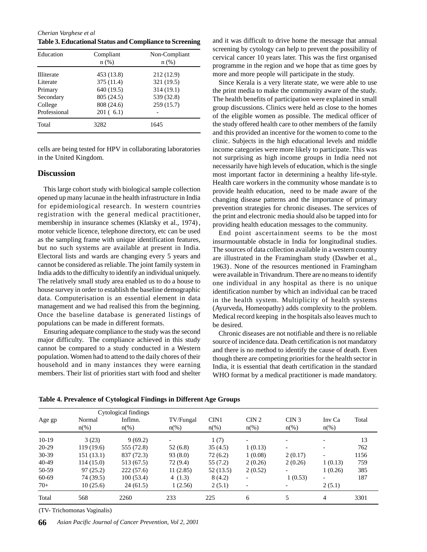*Cherian Varghese et al* **Table 3. Educational Status and Compliance to Screening**

| Education         | Compliant<br>$n$ (%) | Non-Compliant<br>$n$ (%) |
|-------------------|----------------------|--------------------------|
| <b>Illiterate</b> | 453 (13.8)           | 212 (12.9)               |
| Literate          | 375 (11.4)           | 321 (19.5)               |
| Primary           | 640 (19.5)           | 314 (19.1)               |
| Secondary         | 805 (24.5)           | 539 (32.8)               |
| College           | 808 (24.6)           | 259 (15.7)               |
| Professional      | 201(6.1)             |                          |
| Total             | 3282                 | 1645                     |

cells are being tested for HPV in collaborating laboratories in the United Kingdom.

#### **Discussion**

This large cohort study with biological sample collection opened up many lacunae in the health infrastructure in India for epidemiological research. In western countries registration with the general medical practitioner, membership in insurance schemes (Klatsky et al., 1974) , motor vehicle licence, telephone directory, etc can be used as the sampling frame with unique identification features, but no such systems are available at present in India. Electoral lists and wards are changing every 5 years and cannot be considered as reliable. The joint family system in India adds to the difficulty to identify an individual uniquely. The relatively small study area enabled us to do a house to house survey in order to establish the baseline demographic data. Computerisation is an essential element in data management and we had realised this from the beginning. Once the baseline database is generated listings of populations can be made in different formats.

Ensuring adequate compliance to the study was the second major difficulty. The compliance achieved in this study cannot be compared to a study conducted in a Western population. Women had to attend to the daily chores of their household and in many instances they were earning members. Their list of priorities start with food and shelter

and it was difficult to drive home the message that annual screening by cytology can help to prevent the possibility of cervical cancer 10 years later. This was the first organised programme in the region and we hope that as time goes by more and more people will participate in the study.

Since Kerala is a very literate state, we were able to use the print media to make the community aware of the study. The health benefits of participation were explained in small group discussions. Clinics were held as close to the homes of the eligible women as possible. The medical officer of the study offered health care to other members of the family and this provided an incentive for the women to come to the clinic. Subjects in the high educational levels and middle income categories were more likely to participate. This was not surprising as high income groups in India need not necessarily have high levels of education, which is the single most important factor in determining a healthy life-style. Health care workers in the community whose mandate is to provide health education, need to be made aware of the changing disease patterns and the importance of primary prevention strategies for chronic diseases. The services of the print and electronic media should also be tapped into for providing health education messages to the community.

End point ascertainment seems to be the most insurmountable obstacle in India for longitudinal studies. The sources of data collection available in a western country are illustrated in the Framingham study (Dawber et al., 1963) . None of the resources mentioned in Framingham were available in Trivandrum. There are no means to identify one individual in any hospital as there is no unique identification number by which an individual can be traced in the health system. Multiplicity of health systems (Ayurveda, Homeopathy) adds complexity to the problem. Medical record keeping in the hospitals also leaves much to be desired.

Chronic diseases are not notifiable and there is no reliable source of incidence data. Death certification is not mandatory and there is no method to identify the cause of death. Even though there are competing priorities for the health sector in India, it is essential that death certification in the standard WHO format by a medical practitioner is made mandatory.

|         |                     | Cytological findings |           |                    |                  |                          |                          |       |
|---------|---------------------|----------------------|-----------|--------------------|------------------|--------------------------|--------------------------|-------|
| Age gp  | Normal              | Inflmn.              | TV/Fungal | CIN1               | CIN <sub>2</sub> | CIN <sub>3</sub>         | Inv Ca                   | Total |
|         | $n\frac{\omega}{6}$ | $n(\%)$              | $n\%$     | $n\left(\%\right)$ | $n(\%)$          | $n\left(\%\right)$       | $n\left(\%\right)$       |       |
| $10-19$ | 3(23)               | 9(69.2)              |           | 1(7)               |                  |                          |                          | 13    |
| $20-29$ | 119(19.6)           | 555 (72.8)           | 52 (6.8)  | 35(4.5)            | 1(0.13)          | $\overline{\phantom{0}}$ |                          | 762   |
| $30-39$ | 151 (13.1)          | 837 (72.3)           | 93(8.0)   | 72(6.2)            | 1(0.08)          | 2(0.17)                  |                          | 1156  |
| 40-49   | 114(15.0)           | 513 (67.5)           | 72 (9.4)  | 55(7.2)            | 2(0.26)          | 2(0.26)                  | 1(0.13)                  | 759   |
| 50-59   | 97(25.2)            | 222(57.6)            | 11(2.85)  | 52(13.5)           | 2(0.52)          | ۰                        | 1(0.26)                  | 385   |
| 60-69   | 74 (39.5)           | 100(53.4)            | 4 $(1.3)$ | 8(4.2)             |                  | 1(0.53)                  | $\overline{\phantom{0}}$ | 187   |
| $70+$   | 10(25.6)            | 24(61.5)             | 1(2.56)   | 2(5.1)             |                  | $\overline{\phantom{a}}$ | 2(5.1)                   |       |
| Total   | 568                 | 2260                 | 233       | 225                | 6                | 5                        | $\overline{4}$           | 3301  |

**Table 4. Prevalence of Cytological Findings in Different Age Groups**

(TV- Trichomonas Vaginalis)